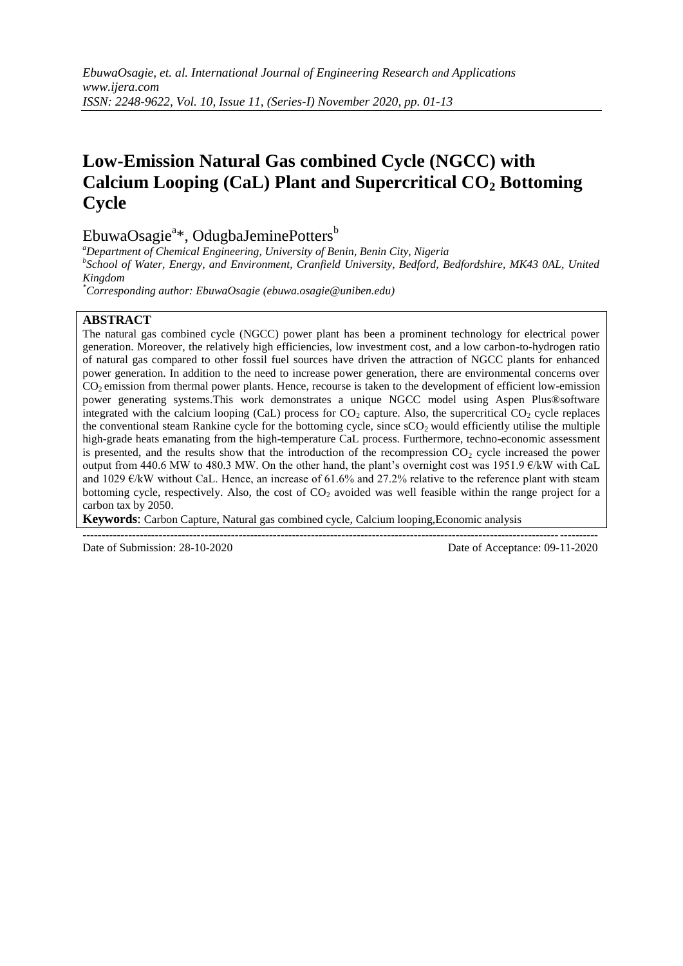# **Low-Emission Natural Gas combined Cycle (NGCC) with Calcium Looping (CaL) Plant and Supercritical CO<sup>2</sup> Bottoming Cycle**

EbuwaOsagie<sup>a\*</sup>, OdugbaJeminePotters<sup>b</sup>

*<sup>a</sup>Department of Chemical Engineering, University of Benin, Benin City, Nigeria b School of Water, Energy, and Environment, Cranfield University, Bedford, Bedfordshire, MK43 0AL, United Kingdom*

*\*Corresponding author: EbuwaOsagie (ebuwa.osagie@uniben.edu)*

# **ABSTRACT**

The natural gas combined cycle (NGCC) power plant has been a prominent technology for electrical power generation. Moreover, the relatively high efficiencies, low investment cost, and a low carbon-to-hydrogen ratio of natural gas compared to other fossil fuel sources have driven the attraction of NGCC plants for enhanced power generation. In addition to the need to increase power generation, there are environmental concerns over CO<sub>2</sub> emission from thermal power plants. Hence, recourse is taken to the development of efficient low-emission power generating systems.This work demonstrates a unique NGCC model using Aspen Plus®software integrated with the calcium looping (CaL) process for  $CO_2$  capture. Also, the supercritical  $CO_2$  cycle replaces the conventional steam Rankine cycle for the bottoming cycle, since  $sCO<sub>2</sub>$  would efficiently utilise the multiple high-grade heats emanating from the high-temperature CaL process. Furthermore, techno-economic assessment is presented, and the results show that the introduction of the recompression  $CO<sub>2</sub>$  cycle increased the power output from 440.6 MW to 480.3 MW. On the other hand, the plant's overnight cost was  $1951.9 \text{ } \text{\textsterling} \times \text{FW}$  with CaL and 1029  $\epsilon$ /kW without CaL. Hence, an increase of 61.6% and 27.2% relative to the reference plant with steam bottoming cycle, respectively. Also, the cost of  $CO<sub>2</sub>$  avoided was well feasible within the range project for a carbon tax by 2050.

**Keywords**: Carbon Capture, Natural gas combined cycle, Calcium looping,Economic analysis

---------------------------------------------------------------------------------------------------------------------------------------

Date of Submission: 28-10-2020 Date of Acceptance: 09-11-2020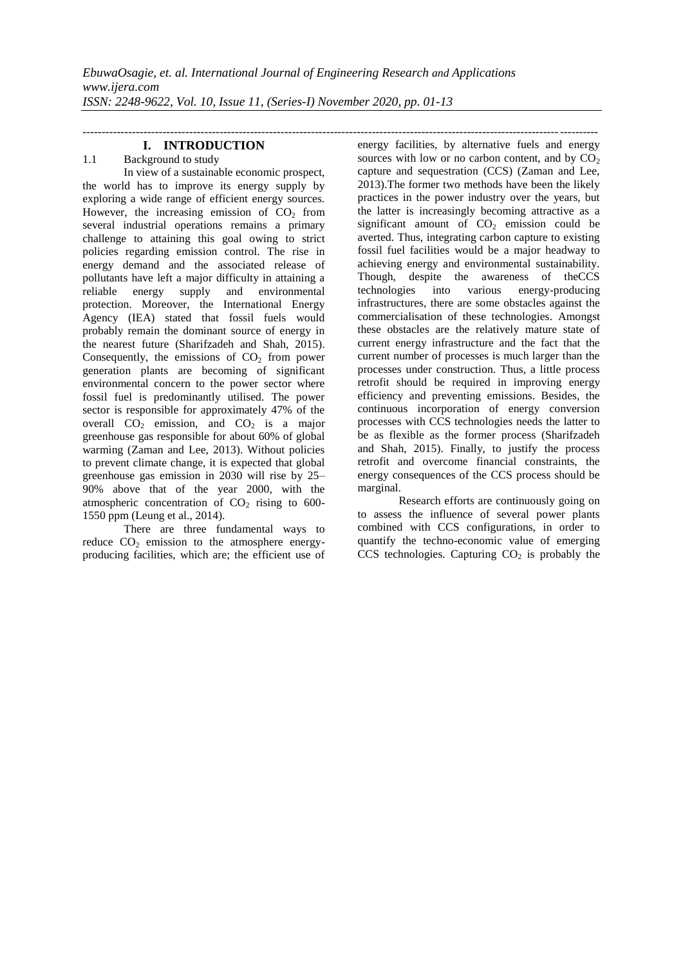## **I. INTRODUCTION**

# 1.1 Background to study

In view of a sustainable economic prospect, the world has to improve its energy supply by exploring a wide range of efficient energy sources. However, the increasing emission of  $CO<sub>2</sub>$  from several industrial operations remains a primary challenge to attaining this goal owing to strict policies regarding emission control. The rise in energy demand and the associated release of pollutants have left a major difficulty in attaining a reliable energy supply and environmental energy supply and environmental protection. Moreover, the International Energy Agency (IEA) stated that fossil fuels would probably remain the dominant source of energy in the nearest future (Sharifzadeh and Shah, 2015). Consequently, the emissions of  $CO<sub>2</sub>$  from power generation plants are becoming of significant environmental concern to the power sector where fossil fuel is predominantly utilised. The power sector is responsible for approximately 47% of the overall  $CO<sub>2</sub>$  emission, and  $CO<sub>2</sub>$  is a major greenhouse gas responsible for about 60% of global warming (Zaman and Lee, 2013). Without policies to prevent climate change, it is expected that global greenhouse gas emission in 2030 will rise by 25– 90% above that of the year 2000, with the atmospheric concentration of  $CO<sub>2</sub>$  rising to 600-1550 ppm (Leung et al., 2014).

There are three fundamental ways to reduce  $CO<sub>2</sub>$  emission to the atmosphere energyproducing facilities, which are; the efficient use of energy facilities, by alternative fuels and energy sources with low or no carbon content, and by  $CO<sub>2</sub>$ capture and sequestration (CCS) (Zaman and Lee, 2013).The former two methods have been the likely practices in the power industry over the years, but the latter is increasingly becoming attractive as a significant amount of  $CO<sub>2</sub>$  emission could be averted. Thus, integrating carbon capture to existing fossil fuel facilities would be a major headway to achieving energy and environmental sustainability. Though, despite the awareness of theCCS technologies into various energy-producing infrastructures, there are some obstacles against the commercialisation of these technologies. Amongst these obstacles are the relatively mature state of current energy infrastructure and the fact that the current number of processes is much larger than the processes under construction. Thus, a little process retrofit should be required in improving energy efficiency and preventing emissions. Besides, the continuous incorporation of energy conversion processes with CCS technologies needs the latter to be as flexible as the former process (Sharifzadeh and Shah, 2015). Finally, to justify the process retrofit and overcome financial constraints, the energy consequences of the CCS process should be marginal.

---------------------------------------------------------------------------------------------------------------------------------------

Research efforts are continuously going on to assess the influence of several power plants combined with CCS configurations, in order to quantify the techno-economic value of emerging  $CCS$  technologies. Capturing  $CO<sub>2</sub>$  is probably the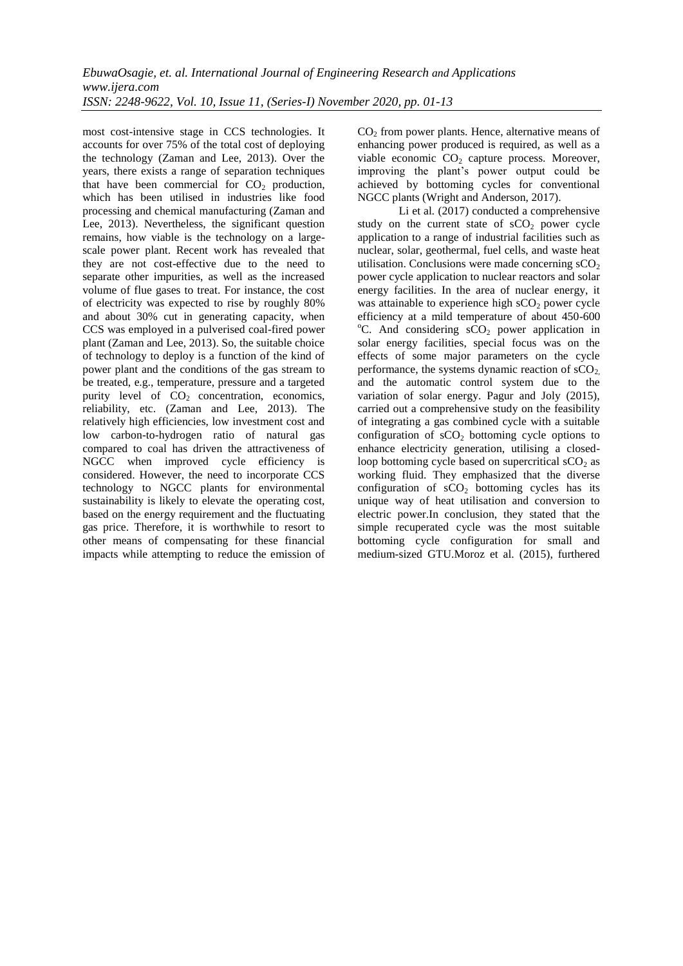most cost-intensive stage in CCS technologies. It accounts for over 75% of the total cost of deploying the technology (Zaman and Lee, 2013). Over the years, there exists a range of separation techniques that have been commercial for  $CO<sub>2</sub>$  production, which has been utilised in industries like food processing and chemical manufacturing (Zaman and Lee, 2013). Nevertheless, the significant question remains, how viable is the technology on a largescale power plant. Recent work has revealed that they are not cost-effective due to the need to separate other impurities, as well as the increased volume of flue gases to treat. For instance, the cost of electricity was expected to rise by roughly 80% and about 30% cut in generating capacity, when CCS was employed in a pulverised coal-fired power plant (Zaman and Lee, 2013). So, the suitable choice of technology to deploy is a function of the kind of power plant and the conditions of the gas stream to be treated, e.g., temperature, pressure and a targeted purity level of  $CO<sub>2</sub>$  concentration, economics, reliability, etc. (Zaman and Lee, 2013). The relatively high efficiencies, low investment cost and low carbon-to-hydrogen ratio of natural gas compared to coal has driven the attractiveness of NGCC when improved cycle efficiency is considered. However, the need to incorporate CCS technology to NGCC plants for environmental sustainability is likely to elevate the operating cost, based on the energy requirement and the fluctuating gas price. Therefore, it is worthwhile to resort to other means of compensating for these financial impacts while attempting to reduce the emission of  $CO<sub>2</sub>$  from power plants. Hence, alternative means of enhancing power produced is required, as well as a viable economic  $CO<sub>2</sub>$  capture process. Moreover, improving the plant"s power output could be achieved by bottoming cycles for conventional NGCC plants (Wright and Anderson, 2017).

Li et al.  $(2017)$  conducted a comprehensive study on the current state of  $sCO<sub>2</sub>$  power cycle application to a range of industrial facilities such as nuclear, solar, geothermal, fuel cells, and waste heat utilisation. Conclusions were made concerning  $sCO<sub>2</sub>$ power cycle application to nuclear reactors and solar energy facilities. In the area of nuclear energy, it was attainable to experience high  $sCO<sub>2</sub>$  power cycle efficiency at a mild temperature of about 450-600  $^{\circ}$ C. And considering  $sCO<sub>2</sub>$  power application in solar energy facilities, special focus was on the effects of some major parameters on the cycle performance, the systems dynamic reaction of  $sCO<sub>2</sub>$ , and the automatic control system due to the variation of solar energy. Pagur and Joly (2015), carried out a comprehensive study on the feasibility of integrating a gas combined cycle with a suitable configuration of  $sCO<sub>2</sub>$  bottoming cycle options to enhance electricity generation, utilising a closedloop bottoming cycle based on supercritical  $\text{sCO}_2$  as working fluid. They emphasized that the diverse configuration of  $sCO<sub>2</sub>$  bottoming cycles has its unique way of heat utilisation and conversion to electric power.In conclusion, they stated that the simple recuperated cycle was the most suitable bottoming cycle configuration for small and medium-sized GTU.Moroz et al. (2015), furthered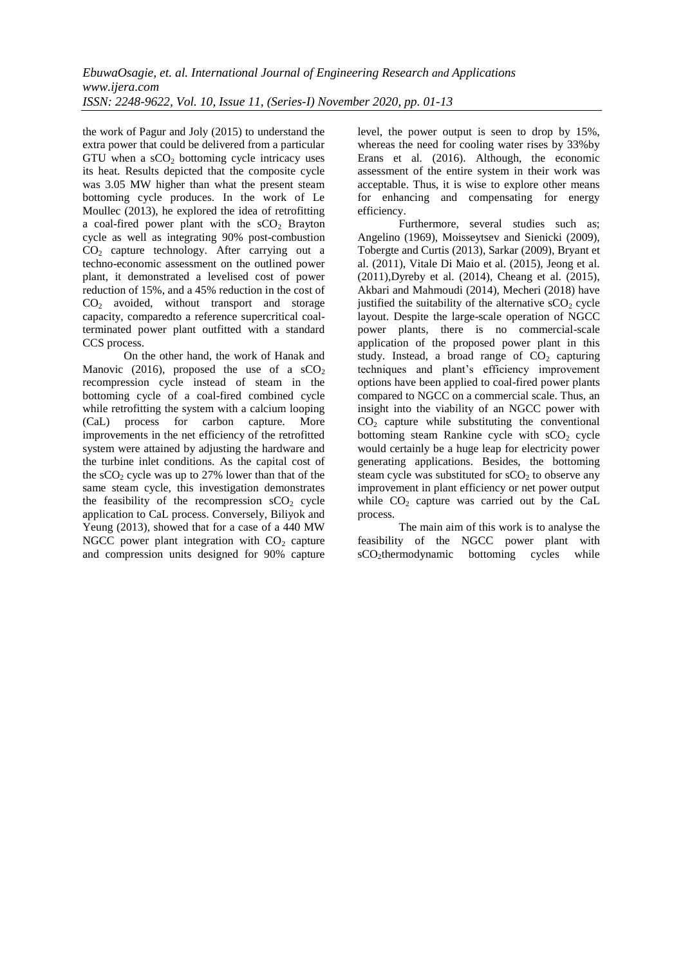the work of Pagur and Joly (2015) to understand the extra power that could be delivered from a particular GTU when a  $\text{sCO}_2$  bottoming cycle intricacy uses its heat. Results depicted that the composite cycle was 3.05 MW higher than what the present steam bottoming cycle produces. In the work of Le Moullec (2013), he explored the idea of retrofitting a coal-fired power plant with the  $sCO<sub>2</sub>$  Brayton cycle as well as integrating 90% post-combustion  $CO<sub>2</sub>$  capture technology. After carrying out a techno-economic assessment on the outlined power plant, it demonstrated a levelised cost of power reduction of 15%, and a 45% reduction in the cost of  $CO<sub>2</sub>$  avoided, without transport and storage capacity, comparedto a reference supercritical coalterminated power plant outfitted with a standard CCS process.

On the other hand, the work of Hanak and Manovic (2016), proposed the use of a  $sCO<sub>2</sub>$ recompression cycle instead of steam in the bottoming cycle of a coal-fired combined cycle while retrofitting the system with a calcium looping (CaL) process for carbon capture. More improvements in the net efficiency of the retrofitted system were attained by adjusting the hardware and the turbine inlet conditions. As the capital cost of the  $sCO<sub>2</sub>$  cycle was up to 27% lower than that of the same steam cycle, this investigation demonstrates the feasibility of the recompression  $sCO<sub>2</sub>$  cycle application to CaL process. Conversely, Biliyok and Yeung (2013), showed that for a case of a 440 MW NGCC power plant integration with  $CO<sub>2</sub>$  capture and compression units designed for 90% capture level, the power output is seen to drop by 15%, whereas the need for cooling water rises by 33%by Erans et al*.* (2016). Although, the economic assessment of the entire system in their work was acceptable. Thus, it is wise to explore other means for enhancing and compensating for energy efficiency.

Furthermore, several studies such as; Angelino (1969), Moisseytsev and Sienicki (2009), Tobergte and Curtis (2013), Sarkar (2009), Bryant et al. (2011), Vitale Di Maio et al. (2015), Jeong et al. (2011),Dyreby et al. (2014), Cheang et al. (2015), Akbari and Mahmoudi (2014), Mecheri (2018) have justified the suitability of the alternative  $\mathcal{S}O_2$  cycle layout. Despite the large-scale operation of NGCC power plants, there is no commercial-scale application of the proposed power plant in this study. Instead, a broad range of  $CO<sub>2</sub>$  capturing techniques and plant"s efficiency improvement options have been applied to coal-fired power plants compared to NGCC on a commercial scale. Thus, an insight into the viability of an NGCC power with  $CO<sub>2</sub>$  capture while substituting the conventional bottoming steam Rankine cycle with  $sCO<sub>2</sub>$  cycle would certainly be a huge leap for electricity power generating applications. Besides, the bottoming steam cycle was substituted for  $sCO<sub>2</sub>$  to observe any improvement in plant efficiency or net power output while  $CO<sub>2</sub>$  capture was carried out by the CaL process.

The main aim of this work is to analyse the feasibility of the NGCC power plant with sCO<sub>2</sub>thermodynamic bottoming cycles while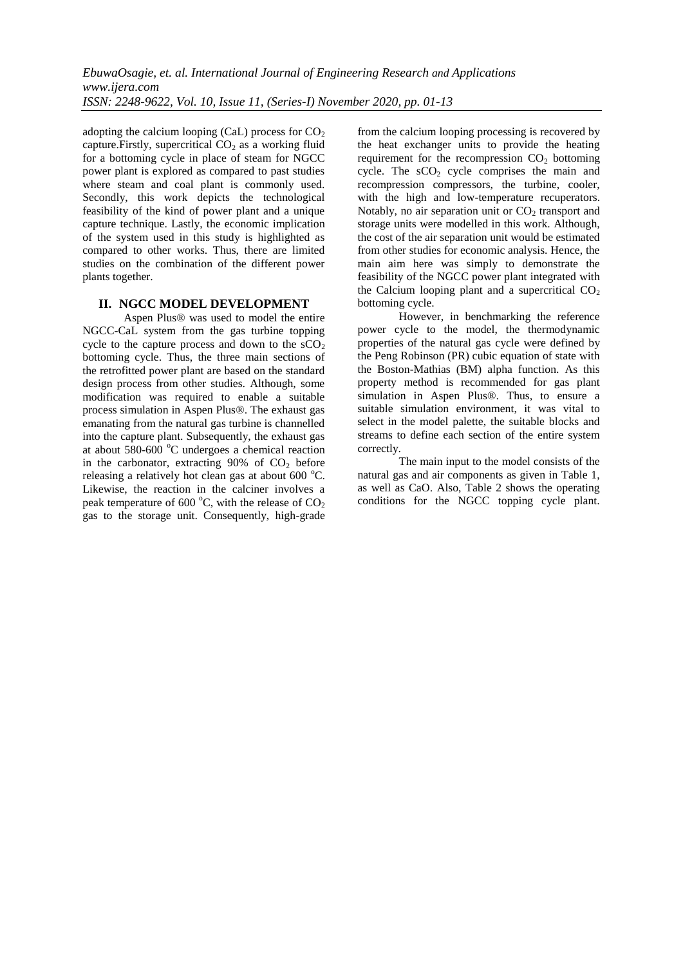adopting the calcium looping (CaL) process for  $CO<sub>2</sub>$ capture. Firstly, supercritical  $CO<sub>2</sub>$  as a working fluid for a bottoming cycle in place of steam for NGCC power plant is explored as compared to past studies where steam and coal plant is commonly used. Secondly, this work depicts the technological feasibility of the kind of power plant and a unique capture technique. Lastly, the economic implication of the system used in this study is highlighted as compared to other works. Thus, there are limited studies on the combination of the different power plants together.

#### **II. NGCC MODEL DEVELOPMENT**

Aspen Plus® was used to model the entire NGCC-CaL system from the gas turbine topping cycle to the capture process and down to the  $sCO<sub>2</sub>$ bottoming cycle. Thus, the three main sections of the retrofitted power plant are based on the standard design process from other studies. Although, some modification was required to enable a suitable process simulation in Aspen Plus®. The exhaust gas emanating from the natural gas turbine is channelled into the capture plant. Subsequently, the exhaust gas at about  $580-600$  °C undergoes a chemical reaction in the carbonator, extracting  $90\%$  of  $CO<sub>2</sub>$  before releasing a relatively hot clean gas at about  $600^{\circ}$ C. Likewise, the reaction in the calciner involves a peak temperature of 600  $^{\circ}$ C, with the release of CO<sub>2</sub> gas to the storage unit. Consequently, high-grade from the calcium looping processing is recovered by the heat exchanger units to provide the heating requirement for the recompression  $CO<sub>2</sub>$  bottoming cycle. The  $sCO<sub>2</sub>$  cycle comprises the main and recompression compressors, the turbine, cooler, with the high and low-temperature recuperators. Notably, no air separation unit or  $CO<sub>2</sub>$  transport and storage units were modelled in this work. Although, the cost of the air separation unit would be estimated from other studies for economic analysis. Hence, the main aim here was simply to demonstrate the feasibility of the NGCC power plant integrated with the Calcium looping plant and a supercritical  $CO<sub>2</sub>$ bottoming cycle.

However, in benchmarking the reference power cycle to the model, the thermodynamic properties of the natural gas cycle were defined by the Peng Robinson (PR) cubic equation of state with the Boston-Mathias (BM) alpha function. As this property method is recommended for gas plant simulation in Aspen Plus®. Thus, to ensure a suitable simulation environment, it was vital to select in the model palette, the suitable blocks and streams to define each section of the entire system correctly.

The main input to the model consists of the natural gas and air components as given in Table 1, as well as CaO. Also, Table 2 shows the operating conditions for the NGCC topping cycle plant.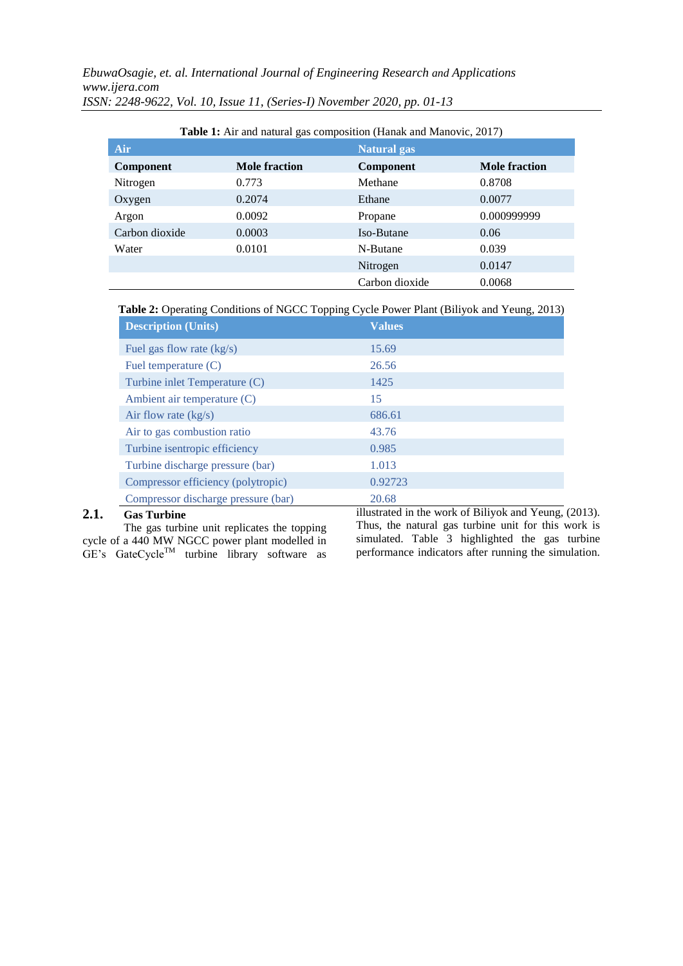| Air            |                      | Natural gas      |                      |
|----------------|----------------------|------------------|----------------------|
| Component      | <b>Mole fraction</b> | <b>Component</b> | <b>Mole fraction</b> |
| Nitrogen       | 0.773                | Methane          | 0.8708               |
| Oxygen         | 0.2074               | Ethane           | 0.0077               |
| Argon          | 0.0092               | Propane          | 0.000999999          |
| Carbon dioxide | 0.0003               | Iso-Butane       | 0.06                 |
| Water          | 0.0101               | N-Butane         | 0.039                |
|                |                      | Nitrogen         | 0.0147               |
|                |                      | Carbon dioxide   | 0.0068               |

**Table 1:** Air and natural gas composition (Hanak and Manovic, 2017)

**Table 2:** Operating Conditions of NGCC Topping Cycle Power Plant (Biliyok and Yeung, 2013)

| <b>Description (Units)</b>          | <b>Values</b> |  |
|-------------------------------------|---------------|--|
| Fuel gas flow rate $(kg/s)$         | 15.69         |  |
| Fuel temperature (C)                | 26.56         |  |
| Turbine inlet Temperature (C)       | 1425          |  |
| Ambient air temperature (C)         | 15            |  |
| Air flow rate $(kg/s)$              | 686.61        |  |
| Air to gas combustion ratio         | 43.76         |  |
| Turbine isentropic efficiency       | 0.985         |  |
| Turbine discharge pressure (bar)    | 1.013         |  |
| Compressor efficiency (polytropic)  | 0.92723       |  |
| Compressor discharge pressure (bar) | 20.68         |  |

# **2.1. Gas Turbine**

The gas turbine unit replicates the topping cycle of a 440 MW NGCC power plant modelled in  $GE's$  GateCycle<sup>TM</sup> turbine library software as illustrated in the work of Biliyok and Yeung, (2013). Thus, the natural gas turbine unit for this work is simulated. Table 3 highlighted the gas turbine performance indicators after running the simulation.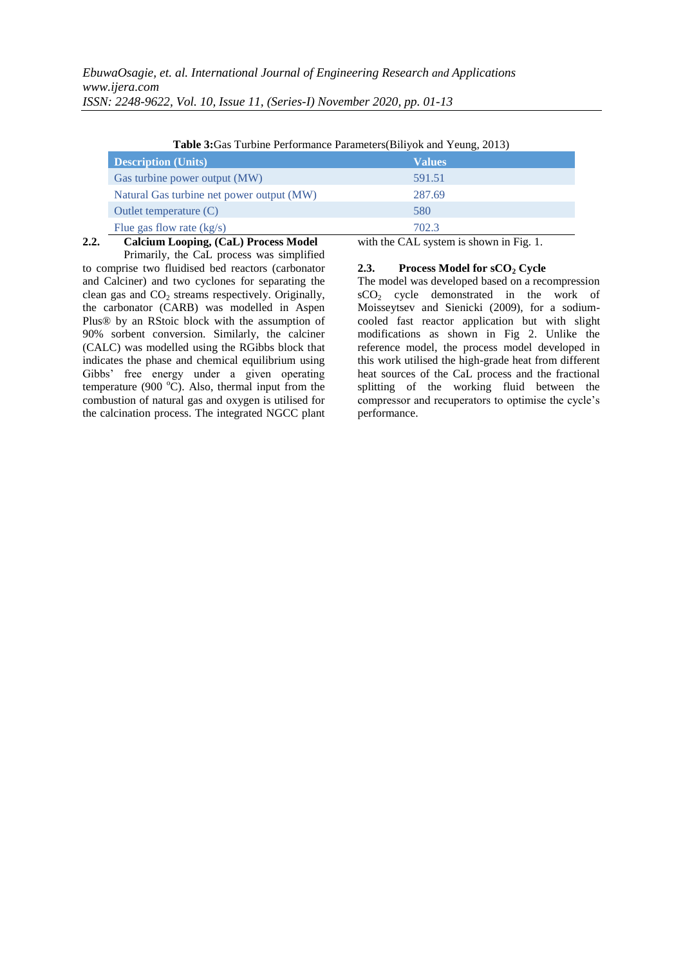|                                           | <b>Table 3:</b> Gas Turbine Performance Parameters (Biliyok and Yeung, 2013) |
|-------------------------------------------|------------------------------------------------------------------------------|
| <b>Description (Units)</b>                | <b>Values</b>                                                                |
| Gas turbine power output (MW)             | 591.51                                                                       |
| Natural Gas turbine net power output (MW) | 287.69                                                                       |
| Outlet temperature $(C)$                  | 580                                                                          |
| Flue gas flow rate $(kg/s)$               | 702.3                                                                        |
| Calcium Looping, (CaL) Process Model      | with the CAL system is shown in Fig. 1.                                      |

**Table 3:**Gas Turbine Performance Parameters(Biliyok and Yeung, 2013)

**2.2. Calcium Looping, (CaL) Process Model** Primarily, the CaL process was simplified to comprise two fluidised bed reactors (carbonator

## **2.3. Process Model for sCO<sup>2</sup> Cycle**

and Calciner) and two cyclones for separating the clean gas and  $CO<sub>2</sub>$  streams respectively. Originally, the carbonator (CARB) was modelled in Aspen Plus® by an RStoic block with the assumption of 90% sorbent conversion. Similarly, the calciner (CALC) was modelled using the RGibbs block that indicates the phase and chemical equilibrium using Gibbs" free energy under a given operating temperature (900 $^{\circ}$ C). Also, thermal input from the combustion of natural gas and oxygen is utilised for the calcination process. The integrated NGCC plant performance.

The model was developed based on a recompression sCO<sup>2</sup> cycle demonstrated in the work of Moisseytsev and Sienicki (2009), for a sodiumcooled fast reactor application but with slight modifications as shown in Fig 2. Unlike the reference model, the process model developed in this work utilised the high-grade heat from different heat sources of the CaL process and the fractional splitting of the working fluid between the compressor and recuperators to optimise the cycle"s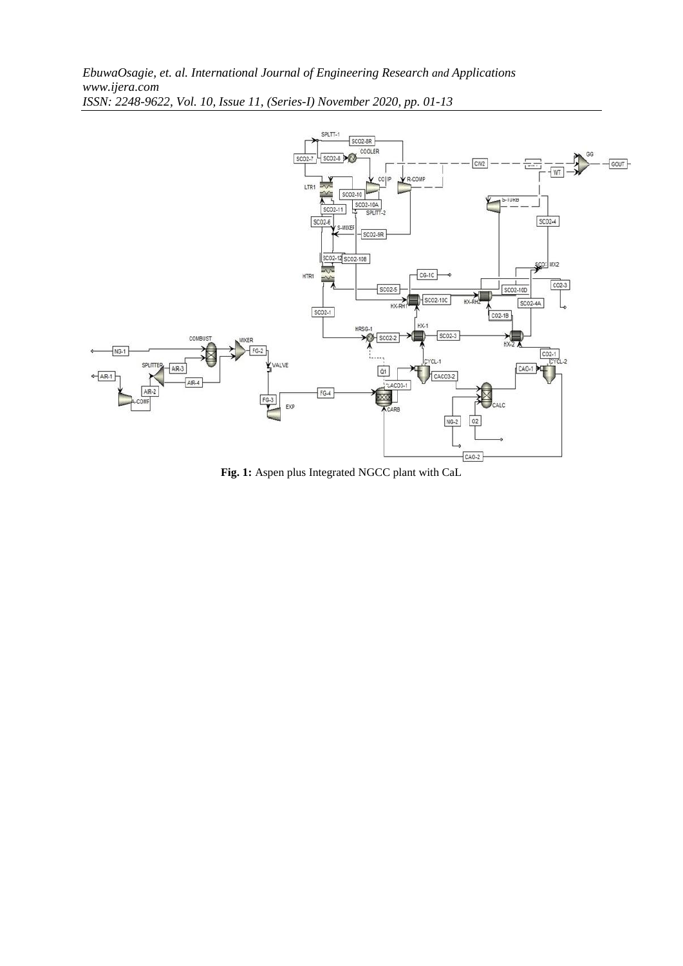

**Fig. 1:** Aspen plus Integrated NGCC plant with CaL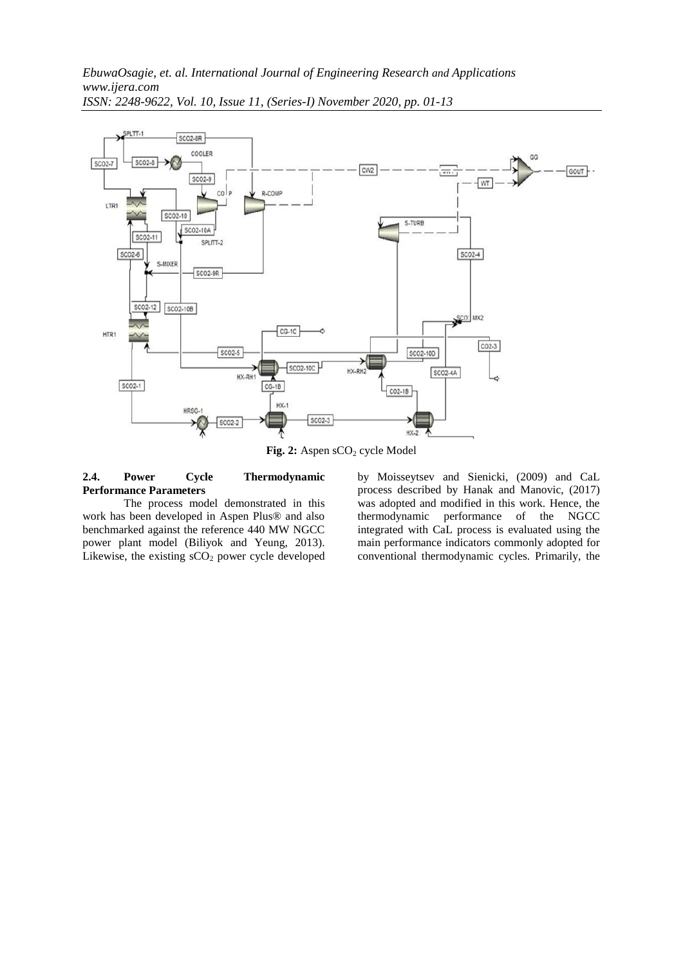

Fig. 2: Aspen sCO<sub>2</sub> cycle Model

## **2.4. Power Cycle Thermodynamic Performance Parameters**

The process model demonstrated in this work has been developed in Aspen Plus® and also benchmarked against the reference 440 MW NGCC power plant model (Biliyok and Yeung, 2013). Likewise, the existing  $sCO<sub>2</sub>$  power cycle developed

by Moisseytsev and Sienicki, (2009) and CaL process described by Hanak and Manovic, (2017) was adopted and modified in this work. Hence, the thermodynamic performance of the NGCC integrated with CaL process is evaluated using the main performance indicators commonly adopted for conventional thermodynamic cycles. Primarily, the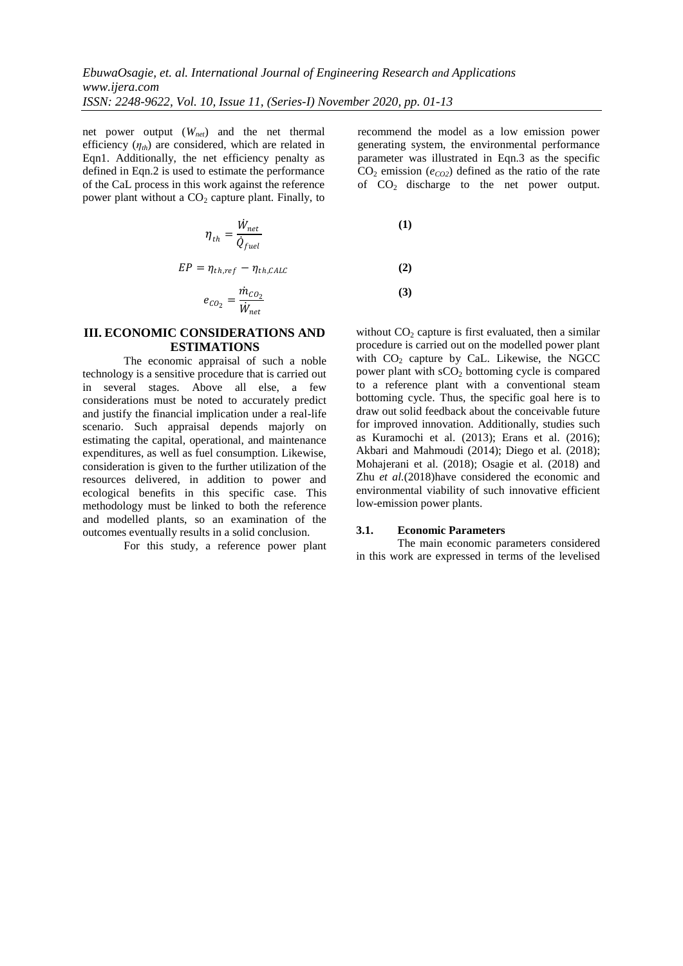net power output (*Wnet*) and the net thermal efficiency  $(\eta_{th})$  are considered, which are related in Eqn1. Additionally, the net efficiency penalty as defined in Eqn.2 is used to estimate the performance of the CaL process in this work against the reference power plant without a  $CO<sub>2</sub>$  capture plant. Finally, to

$$
\eta_{th} = \frac{\dot{W}_{net}}{\dot{Q}_{fuel}}
$$

 $EP = \eta_{th, ref} - \eta_{th, CALC}$ 

$$
e_{CO_2} = \frac{\dot{m}_{CO_2}}{W_{net}}
$$

## **III. ECONOMIC CONSIDERATIONS AND ESTIMATIONS**

The economic appraisal of such a noble technology is a sensitive procedure that is carried out in several stages. Above all else, a few considerations must be noted to accurately predict and justify the financial implication under a real-life scenario. Such appraisal depends majorly on estimating the capital, operational, and maintenance expenditures, as well as fuel consumption. Likewise, consideration is given to the further utilization of the resources delivered, in addition to power and ecological benefits in this specific case. This methodology must be linked to both the reference and modelled plants, so an examination of the outcomes eventually results in a solid conclusion.

For this study, a reference power plant

recommend the model as a low emission power generating system, the environmental performance parameter was illustrated in Eqn.3 as the specific  $CO<sub>2</sub>$  emission ( $e<sub>CO2</sub>$ ) defined as the ratio of the rate of  $CO<sub>2</sub>$  discharge to the net power output.

$$
\begin{array}{c}\n(1) \\
(2) \\
(3)\n\end{array}
$$

without  $CO<sub>2</sub>$  capture is first evaluated, then a similar procedure is carried out on the modelled power plant with  $CO<sub>2</sub>$  capture by CaL. Likewise, the NGCC power plant with  $sCO<sub>2</sub>$  bottoming cycle is compared to a reference plant with a conventional steam bottoming cycle. Thus, the specific goal here is to draw out solid feedback about the conceivable future for improved innovation. Additionally, studies such as Kuramochi et al. (2013); Erans et al. (2016); Akbari and Mahmoudi (2014); Diego et al. (2018); Mohajerani et al. (2018); Osagie et al. (2018) and Zhu *et al.*(2018)have considered the economic and environmental viability of such innovative efficient low-emission power plants.

#### **3.1. Economic Parameters**

The main economic parameters considered in this work are expressed in terms of the levelised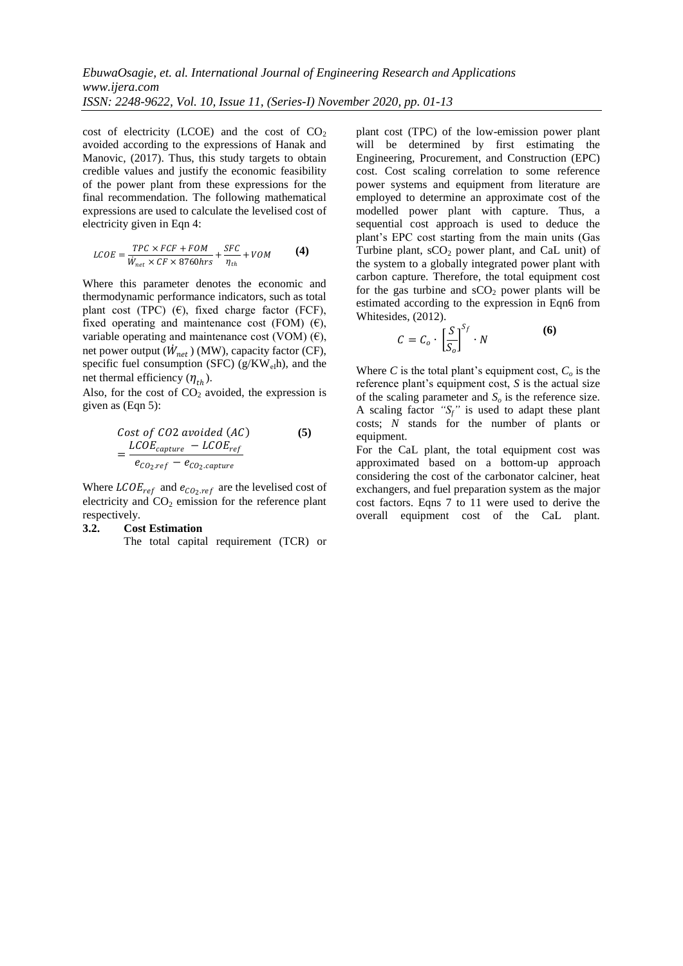cost of electricity (LCOE) and the cost of  $CO<sub>2</sub>$ avoided according to the expressions of Hanak and Manovic, (2017). Thus, this study targets to obtain credible values and justify the economic feasibility of the power plant from these expressions for the final recommendation. The following mathematical expressions are used to calculate the levelised cost of electricity given in Eqn 4:

$$
LCOE = \frac{TPC \times FCF + FOM}{W_{net} \times CF \times 8760 hrs} + \frac{SFC}{\eta_{th}} + VOM
$$
 (4)

Where this parameter denotes the economic and thermodynamic performance indicators, such as total plant cost (TPC)  $(\epsilon)$ , fixed charge factor (FCF), fixed operating and maintenance cost (FOM)  $(\epsilon)$ , variable operating and maintenance cost (VOM)  $(\epsilon)$ , net power output  $(W_{net})$  (MW), capacity factor (CF), specific fuel consumption (SFC) ( $g/KW_{el}$ h), and the net thermal efficiency  $(\eta_{th})$ .

Also, for the cost of  $CO<sub>2</sub>$  avoided, the expression is given as (Eqn 5):

Cost of CO2 avoided (AC)  
= 
$$
\frac{LCOE_{capture} - LCOE_{ref}}{e_{CO_2.ref} - e_{CO_2.capture}}
$$
 (5)

Where  $\text{LCOE}_{ref}$  and  $e_{\text{CO}_2,ref}$  are the levelised cost of electricity and  $CO<sub>2</sub>$  emission for the reference plant respectively.

#### **3.2. Cost Estimation**

The total capital requirement (TCR) or

plant cost (TPC) of the low-emission power plant will be determined by first estimating the Engineering, Procurement, and Construction (EPC) cost. Cost scaling correlation to some reference power systems and equipment from literature are employed to determine an approximate cost of the modelled power plant with capture. Thus, a sequential cost approach is used to deduce the plant"s EPC cost starting from the main units (Gas Turbine plant,  $sCO<sub>2</sub>$  power plant, and CaL unit) of the system to a globally integrated power plant with carbon capture. Therefore, the total equipment cost for the gas turbine and  $sCO<sub>2</sub>$  power plants will be estimated according to the expression in Eqn6 from Whitesides, (2012).

$$
C = C_o \cdot \left[\frac{S}{S_o}\right]^{S_f} \cdot N \tag{6}
$$

Where *C* is the total plant's equipment cost,  $C<sub>o</sub>$  is the reference plant"s equipment cost, *S* is the actual size of the scaling parameter and *S<sup>o</sup>* is the reference size. A scaling factor  $"S_f"$  is used to adapt these plant costs; *N* stands for the number of plants or equipment.

For the CaL plant, the total equipment cost was approximated based on a bottom-up approach considering the cost of the carbonator calciner, heat exchangers, and fuel preparation system as the major cost factors. Eqns 7 to 11 were used to derive the overall equipment cost of the CaL plant.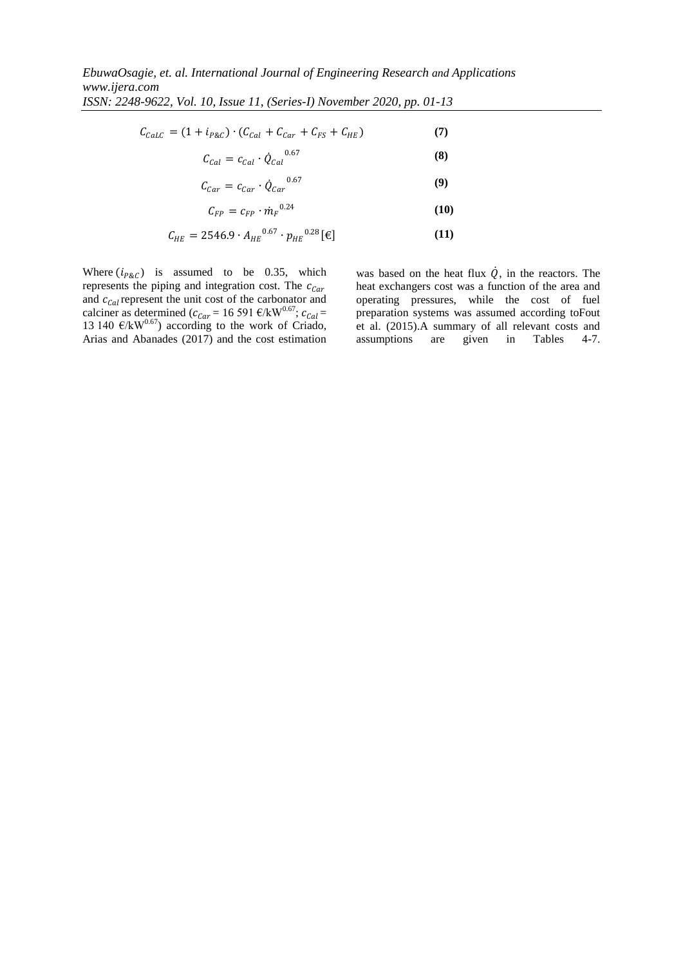$$
C_{Calc} = (1 + i_{P\&C}) \cdot (C_{Cal} + C_{Car} + C_{FS} + C_{HE}) \tag{7}
$$

$$
C_{Cal} = c_{Cal} \cdot \dot{Q}_{Cal}^{0.67} \tag{8}
$$

$$
C_{Car} = c_{Car} \cdot \dot{Q}_{Car}^{0.67} \tag{9}
$$

$$
C_{FP} = c_{FP} \cdot \dot{m}_F{}^{0.24} \tag{10}
$$

$$
C_{HE} = 2546.9 \cdot A_{HE}^{0.67} \cdot p_{HE}^{0.28} [\mathbf{\epsilon}] \tag{11}
$$

Where  $(i_{P&C})$  is assumed to be 0.35, which represents the piping and integration cost. The  $c_{Car}$ and  $c_{Cal}$  represent the unit cost of the carbonator and calciner as determined ( $c_{Car} = 16\,591\,$  €/kW<sup>0.67</sup>;  $c_{Cal} =$ 13 140  $\mathcal{C}/kW^{0.67}$ ) according to the work of Criado, Arias and Abanades (2017) and the cost estimation

was based on the heat flux  $\dot{Q}$ , in the reactors. The heat exchangers cost was a function of the area and operating pressures, while the cost of fuel preparation systems was assumed according toFout et al. (2015).A summary of all relevant costs and assumptions are given in Tables 4-7.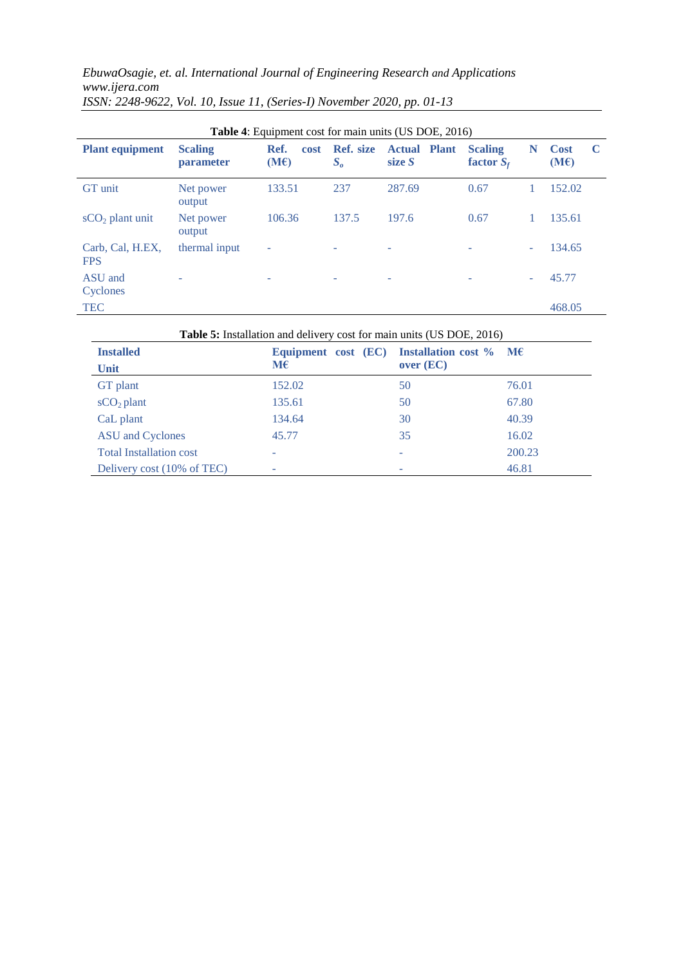*EbuwaOsagie, et. al. International Journal of Engineering Research and Applications www.ijera.com*

|                                |                                    |                      |                             | <b>Table 4:</b> Equipment cost for main units (US DOE, 2016) |                                |   |                          |
|--------------------------------|------------------------------------|----------------------|-----------------------------|--------------------------------------------------------------|--------------------------------|---|--------------------------|
| <b>Plant equipment</b>         | <b>Scaling</b><br><b>parameter</b> | Ref.<br>cost<br>(ME) | <b>Ref.</b> size<br>$S_{o}$ | <b>Actual Plant</b><br>size $S$                              | <b>Scaling</b><br>factor $S_f$ | N | <b>Cost</b><br>C<br>(ME) |
| <b>GT</b> unit                 | Net power<br>output                | 133.51               | 237                         | 287.69                                                       | 0.67                           |   | 152.02                   |
| $sCO2$ plant unit              | Net power<br>output                | 106.36               | 137.5                       | 197.6                                                        | 0.67                           |   | 135.61                   |
| Carb, Cal, H.EX.<br><b>FPS</b> | thermal input                      | ۰                    | ۰                           | ۰                                                            |                                |   | 134.65                   |
| ASU and<br>Cyclones            |                                    |                      |                             |                                                              |                                |   | 45.77                    |
| <b>TEC</b>                     |                                    |                      |                             |                                                              |                                |   | 468.05                   |

*ISSN: 2248-9622, Vol. 10, Issue 11, (Series-I) November 2020, pp. 01-13*

**Table 5:** Installation and delivery cost for main units (US DOE, 2016)

| <b>Installed</b><br>Unit       | Equipment cost (EC) Installation cost $\%$ M $\epsilon$<br>$\mathbf{M}\boldsymbol{\epsilon}$ | over (EC) |        |
|--------------------------------|----------------------------------------------------------------------------------------------|-----------|--------|
| GT plant                       | 152.02                                                                                       | 50        | 76.01  |
| $sCO2$ plant                   | 135.61                                                                                       | 50        | 67.80  |
| CaL plant                      | 134.64                                                                                       | 30        | 40.39  |
| <b>ASU</b> and Cyclones        | 45.77                                                                                        | 35        | 16.02  |
| <b>Total Installation cost</b> |                                                                                              |           | 200.23 |
| Delivery cost (10% of TEC)     |                                                                                              |           | 46.81  |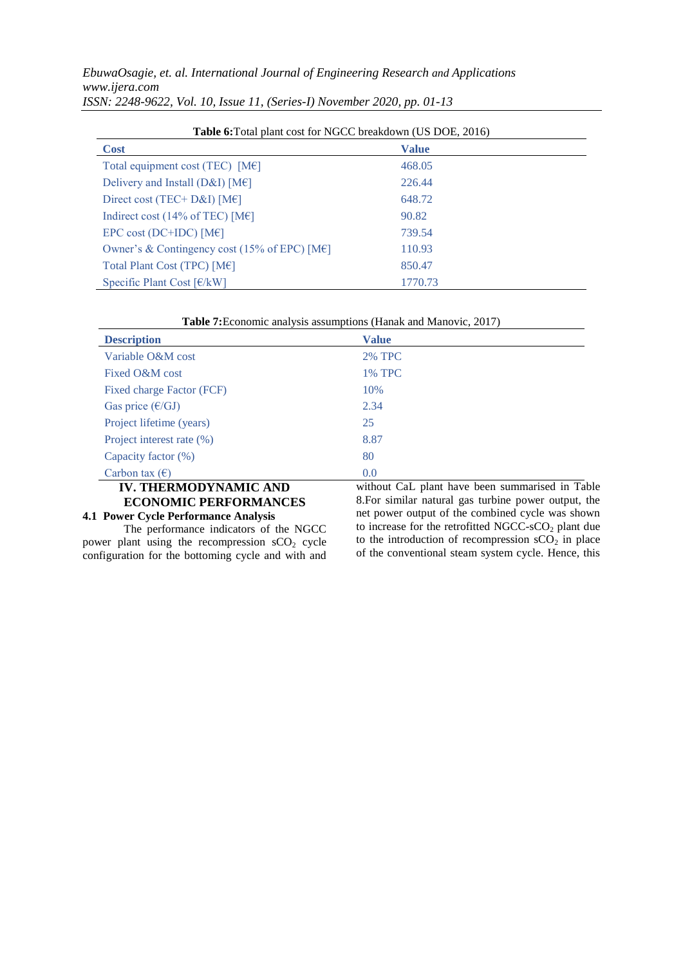| <b>Table 6:</b> Total plant cost for NGCC breakdown (US DOE, 2016) |              |  |  |
|--------------------------------------------------------------------|--------------|--|--|
| <b>Cost</b>                                                        | <b>Value</b> |  |  |
| Total equipment cost (TEC) $[ME]$                                  | 468.05       |  |  |
| Delivery and Install (D&I) [M $\epsilon$ ]                         | 226.44       |  |  |
| Direct cost (TEC+ D&I) [M $\in$ ]                                  | 648.72       |  |  |
| Indirect cost (14% of TEC) [M $\epsilon$ ]                         | 90.82        |  |  |
| EPC cost (DC+IDC) [M $\epsilon$ ]                                  | 739.54       |  |  |
| Owner's & Contingency cost (15% of EPC) [M $\epsilon$ ]            | 110.93       |  |  |
| Total Plant Cost (TPC) $[ME]$                                      | 850.47       |  |  |
| Specific Plant Cost $\lceil \frac{\epsilon}{kW} \rceil$            | 1770.73      |  |  |

| Table 7: Economic analysis assumptions (Hanak and Manovic, 2017) |  |
|------------------------------------------------------------------|--|
|------------------------------------------------------------------|--|

| <b>Description</b>        | <b>Value</b>                                                                                    |
|---------------------------|-------------------------------------------------------------------------------------------------|
| Variable O&M cost         | <b>2% TPC</b>                                                                                   |
| Fixed O&M cost            | <b>1% TPC</b>                                                                                   |
| Fixed charge Factor (FCF) | 10%                                                                                             |
| Gas price $(\epsilon/GJ)$ | 2.34                                                                                            |
| Project lifetime (years)  | 25                                                                                              |
| Project interest rate (%) | 8.87                                                                                            |
| Capacity factor (%)       | 80                                                                                              |
| Carbon tax $(\epsilon)$   | 0.0                                                                                             |
|                           | $\cdot$ $\cdot$ $\cdot$ $\cdot$<br>$\mathbf{m}$<br>$\cdots$ $\alpha$ $\cdots$ $\cdots$ $\cdots$ |

## **IV. THERMODYNAMIC AND ECONOMIC PERFORMANCES**

#### **4.1 Power Cycle Performance Analysis**

The performance indicators of the NGCC power plant using the recompression  $sCO<sub>2</sub>$  cycle configuration for the bottoming cycle and with and without CaL plant have been summarised in Table 8.For similar natural gas turbine power output, the net power output of the combined cycle was shown to increase for the retrofitted NGCC-sCO<sub>2</sub> plant due to the introduction of recompression  $sCO<sub>2</sub>$  in place of the conventional steam system cycle. Hence, this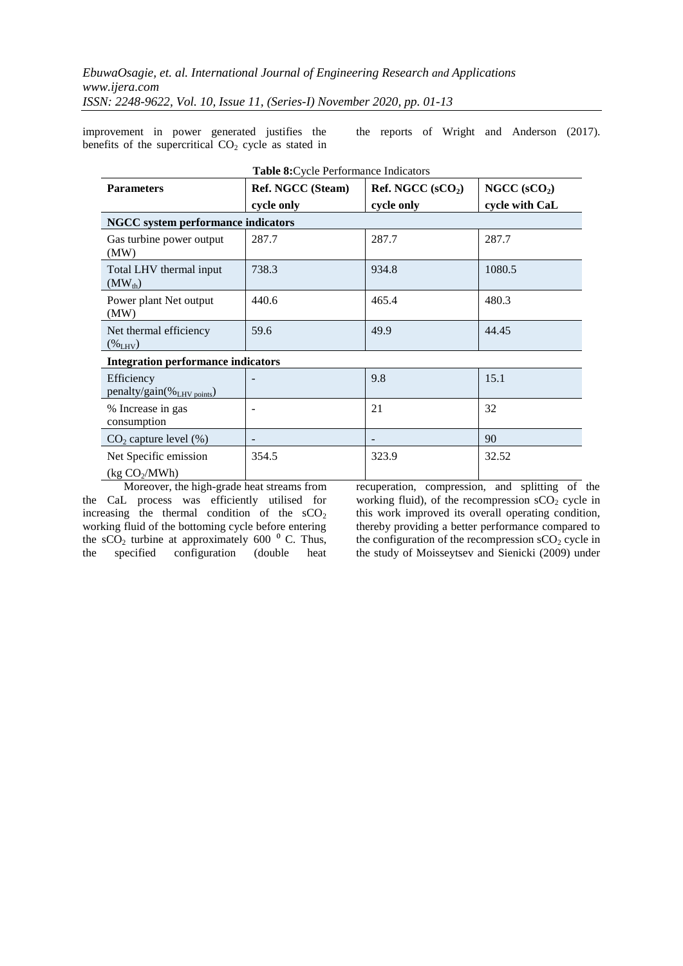improvement in power generated justifies the benefits of the supercritical  $CO<sub>2</sub>$  cycle as stated in the reports of Wright and Anderson (2017).

| <b>Parameters</b>                                  | Table 8: Cycle Performance Indicators<br>Ref. NGCC (Steam) | Ref. NGCC $(sCO2)$ | NGCC $(sCO2)$  |
|----------------------------------------------------|------------------------------------------------------------|--------------------|----------------|
|                                                    | cycle only                                                 | cycle only         | cycle with CaL |
| <b>NGCC</b> system performance indicators          |                                                            |                    |                |
| Gas turbine power output<br>(MW)                   | 287.7                                                      | 287.7              | 287.7          |
| Total LHV thermal input<br>$(MW_{th})$             | 738.3                                                      | 934.8              | 1080.5         |
| Power plant Net output<br>(MW)                     | 440.6                                                      | 465.4              | 480.3          |
| Net thermal efficiency<br>$(\%_{LHV})$             | 59.6                                                       | 49.9               | 44.45          |
| <b>Integration performance indicators</b>          |                                                            |                    |                |
| Efficiency<br>penalty/gain(%LHV points)            |                                                            | 9.8                | 15.1           |
| % Increase in gas<br>consumption                   |                                                            | 21                 | 32             |
| $CO2$ capture level $(\%)$                         |                                                            |                    | 90             |
| Net Specific emission<br>(kg CO <sub>2</sub> /MWh) | 354.5                                                      | 323.9              | 32.52          |

Moreover, the high-grade heat streams from the CaL process was efficiently utilised for increasing the thermal condition of the  $sCO<sub>2</sub>$ working fluid of the bottoming cycle before entering the  $sCO<sub>2</sub>$  turbine at approximately 600  $^{0}$  C. Thus, the specified configuration (double heat recuperation, compression, and splitting of the working fluid), of the recompression  $sCO<sub>2</sub>$  cycle in this work improved its overall operating condition, thereby providing a better performance compared to the configuration of the recompression  $sCO<sub>2</sub>$  cycle in the study of Moisseytsev and Sienicki (2009) under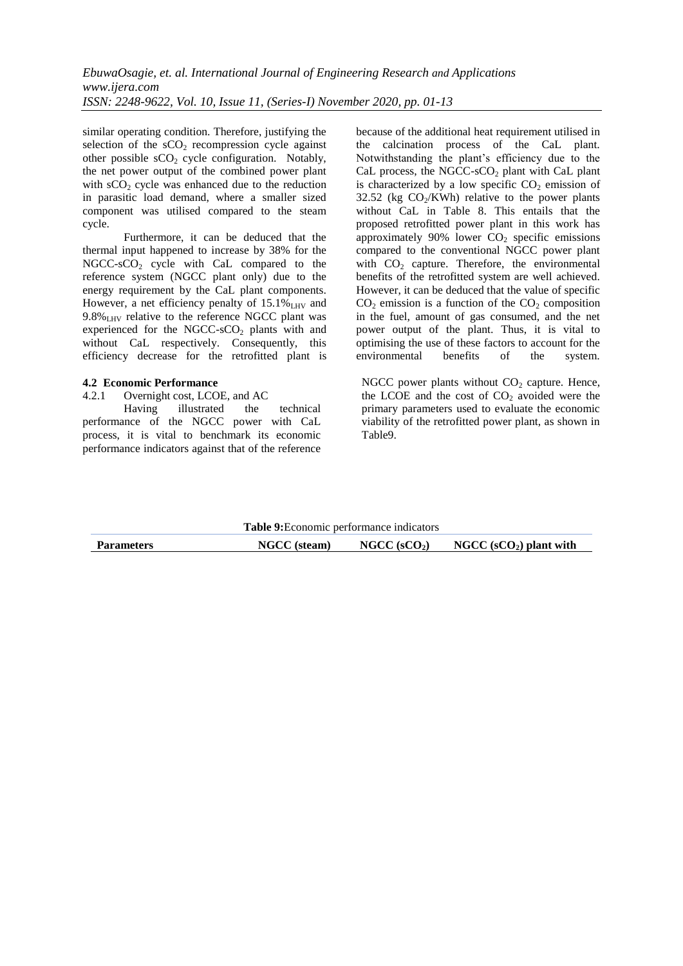similar operating condition. Therefore, justifying the selection of the  $sCO<sub>2</sub>$  recompression cycle against other possible  $sCO<sub>2</sub>$  cycle configuration. Notably, the net power output of the combined power plant with  $sCO<sub>2</sub>$  cycle was enhanced due to the reduction in parasitic load demand, where a smaller sized component was utilised compared to the steam cycle.

Furthermore, it can be deduced that the thermal input happened to increase by 38% for the  $NGCC-SCO<sub>2</sub>$  cycle with CaL compared to the reference system (NGCC plant only) due to the energy requirement by the CaL plant components. However, a net efficiency penalty of  $15.1\%$ <sub>LHV</sub> and  $9.8\%$ <sub>LHV</sub> relative to the reference NGCC plant was experienced for the NGCC-sCO<sub>2</sub> plants with and without CaL respectively. Consequently, this efficiency decrease for the retrofitted plant is

#### **4.2 Economic Performance**

#### 4.2.1 Overnight cost, LCOE, and AC

Having illustrated the technical performance of the NGCC power with CaL process, it is vital to benchmark its economic performance indicators against that of the reference because of the additional heat requirement utilised in the calcination process of the CaL plant. Notwithstanding the plant"s efficiency due to the CaL process, the NGCC-sCO<sub>2</sub> plant with CaL plant is characterized by a low specific  $CO<sub>2</sub>$  emission of 32.52 (kg  $CO<sub>2</sub>/KWh$ ) relative to the power plants without CaL in Table 8. This entails that the proposed retrofitted power plant in this work has approximately 90% lower  $CO<sub>2</sub>$  specific emissions compared to the conventional NGCC power plant with  $CO<sub>2</sub>$  capture. Therefore, the environmental benefits of the retrofitted system are well achieved. However, it can be deduced that the value of specific  $CO<sub>2</sub>$  emission is a function of the  $CO<sub>2</sub>$  composition in the fuel, amount of gas consumed, and the net power output of the plant. Thus, it is vital to optimising the use of these factors to account for the<br>environmental benefits of the system. environmental benefits of the system.

NGCC power plants without  $CO<sub>2</sub>$  capture. Hence, the LCOE and the cost of  $CO<sub>2</sub>$  avoided were the primary parameters used to evaluate the economic viability of the retrofitted power plant, as shown in Table9.

|                   | Table 9: Economic performance indicators |                          |                          |
|-------------------|------------------------------------------|--------------------------|--------------------------|
| <b>Parameters</b> | <b>NGCC</b> (steam)                      | NGCC (sCO <sub>2</sub> ) | NGCC $(sCO2)$ plant with |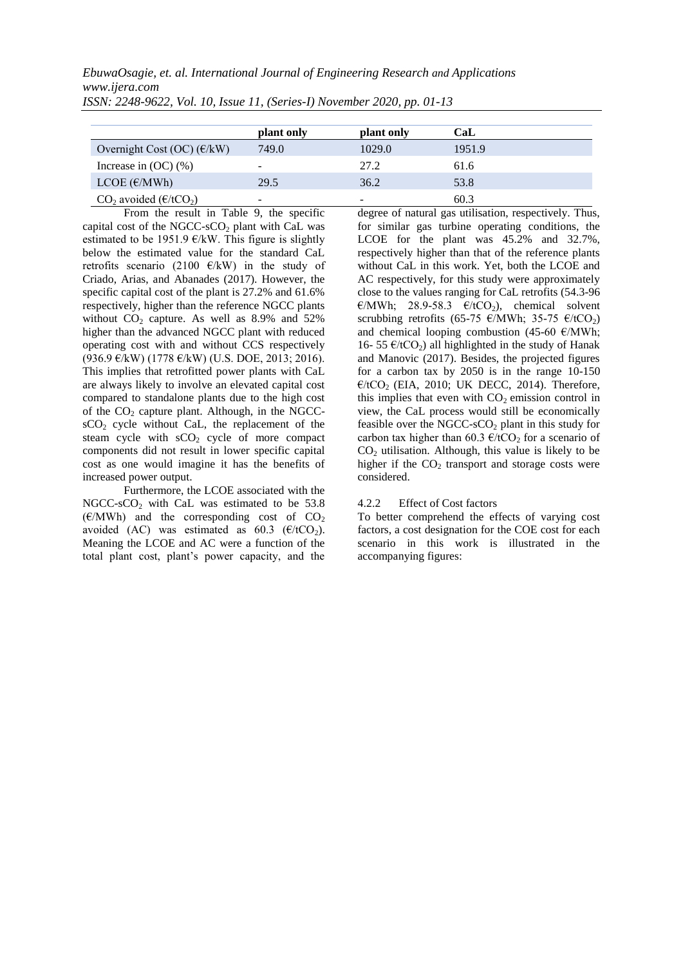*EbuwaOsagie, et. al. International Journal of Engineering Research and Applications www.ijera.com*

|                                                           | plant only               | plant only               | CaL    |
|-----------------------------------------------------------|--------------------------|--------------------------|--------|
| Overnight Cost (OC) $(\text{\ensuremath{\mathbb{E}}}/kW)$ | 749.0                    | 1029.0                   | 1951.9 |
| Increase in $(OC)$ $(\%)$                                 | $\overline{\phantom{a}}$ | 27.2                     | 61.6   |
| LCOE $(\epsilon/MWh)$                                     | 29.5                     | 36.2                     | 53.8   |
| $CO2$ avoided ( $E/tCO2$ )                                | $\overline{\phantom{a}}$ | $\overline{\phantom{0}}$ | 60.3   |

*ISSN: 2248-9622, Vol. 10, Issue 11, (Series-I) November 2020, pp. 01-13*

From the result in Table 9, the specific capital cost of the NGCC-sCO<sub>2</sub> plant with CaL was estimated to be 1951.9  $\epsilon$ /kW. This figure is slightly below the estimated value for the standard CaL retrofits scenario (2100  $\epsilon$ /kW) in the study of Criado, Arias, and Abanades (2017). However, the specific capital cost of the plant is 27.2% and 61.6% respectively, higher than the reference NGCC plants without  $CO<sub>2</sub>$  capture. As well as 8.9% and 52% higher than the advanced NGCC plant with reduced operating cost with and without CCS respectively (936.9 €/kW) (1778 €/kW) (U.S. DOE, 2013; 2016). This implies that retrofitted power plants with CaL are always likely to involve an elevated capital cost compared to standalone plants due to the high cost of the  $CO<sub>2</sub>$  capture plant. Although, in the NGCC $sCO<sub>2</sub>$  cycle without CaL, the replacement of the steam cycle with  $sCO<sub>2</sub>$  cycle of more compact components did not result in lower specific capital cost as one would imagine it has the benefits of increased power output.

Furthermore, the LCOE associated with the NGCC-sCO<sub>2</sub> with CaL was estimated to be  $53.8$  $(\text{\ensuremath{\mathfrak{E}}}/\text{\ensuremath{\mathsf{M}}}\text{\ensuremath{\mathsf{W}}})$  and the corresponding cost of  $\text{CO}_2$ avoided (AC) was estimated as 60.3 ( $\epsilon$ /tCO<sub>2</sub>). Meaning the LCOE and AC were a function of the total plant cost, plant"s power capacity, and the degree of natural gas utilisation, respectively. Thus, for similar gas turbine operating conditions, the LCOE for the plant was 45.2% and 32.7%, respectively higher than that of the reference plants without CaL in this work. Yet, both the LCOE and AC respectively, for this study were approximately close to the values ranging for CaL retrofits (54.3-96 €/MWh; 28.9-58.3 €/tCO<sub>2</sub>), chemical solvent scrubbing retrofits (65-75 €/MWh; 35-75 €/tCO<sub>2</sub>) and chemical looping combustion (45-60 €/MWh; 16- 55  $\epsilon$ /tCO<sub>2</sub>) all highlighted in the study of Hanak and Manovic (2017). Besides, the projected figures for a carbon tax by 2050 is in the range 10-150  $E/ tCO$ <sub>2</sub> (EIA, 2010; UK DECC, 2014). Therefore, this implies that even with  $CO<sub>2</sub>$  emission control in view, the CaL process would still be economically feasible over the NGCC-sCO<sub>2</sub> plant in this study for carbon tax higher than 60.3  $\epsilon$ /tCO<sub>2</sub> for a scenario of  $CO<sub>2</sub>$  utilisation. Although, this value is likely to be higher if the  $CO<sub>2</sub>$  transport and storage costs were considered.

## 4.2.2 Effect of Cost factors

To better comprehend the effects of varying cost factors, a cost designation for the COE cost for each scenario in this work is illustrated in the accompanying figures: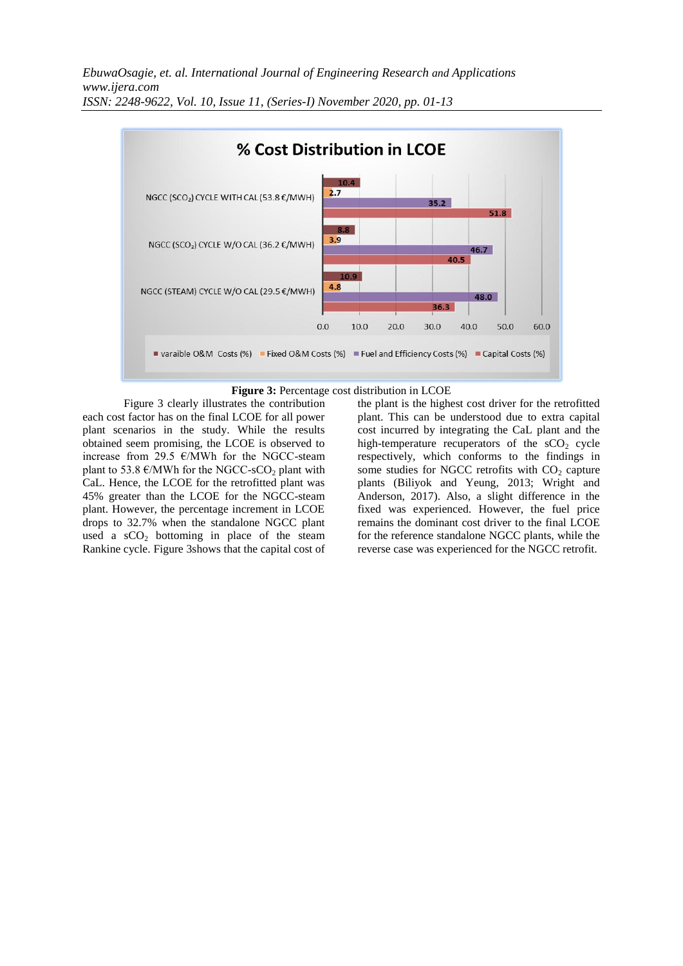



Figure 3 clearly illustrates the contribution each cost factor has on the final LCOE for all power plant scenarios in the study. While the results obtained seem promising, the LCOE is observed to increase from 29.5  $\epsilon$ /MWh for the NGCC-steam plant to 53.8  $\varepsilon$ /MWh for the NGCC-sCO<sub>2</sub> plant with CaL. Hence, the LCOE for the retrofitted plant was 45% greater than the LCOE for the NGCC-steam plant. However, the percentage increment in LCOE drops to 32.7% when the standalone NGCC plant used a  $sCO<sub>2</sub>$  bottoming in place of the steam Rankine cycle. Figure 3shows that the capital cost of the plant is the highest cost driver for the retrofitted plant. This can be understood due to extra capital cost incurred by integrating the CaL plant and the high-temperature recuperators of the  $sCO<sub>2</sub>$  cycle respectively, which conforms to the findings in some studies for NGCC retrofits with  $CO<sub>2</sub>$  capture plants (Biliyok and Yeung, 2013; Wright and Anderson, 2017). Also, a slight difference in the fixed was experienced. However, the fuel price remains the dominant cost driver to the final LCOE for the reference standalone NGCC plants, while the reverse case was experienced for the NGCC retrofit.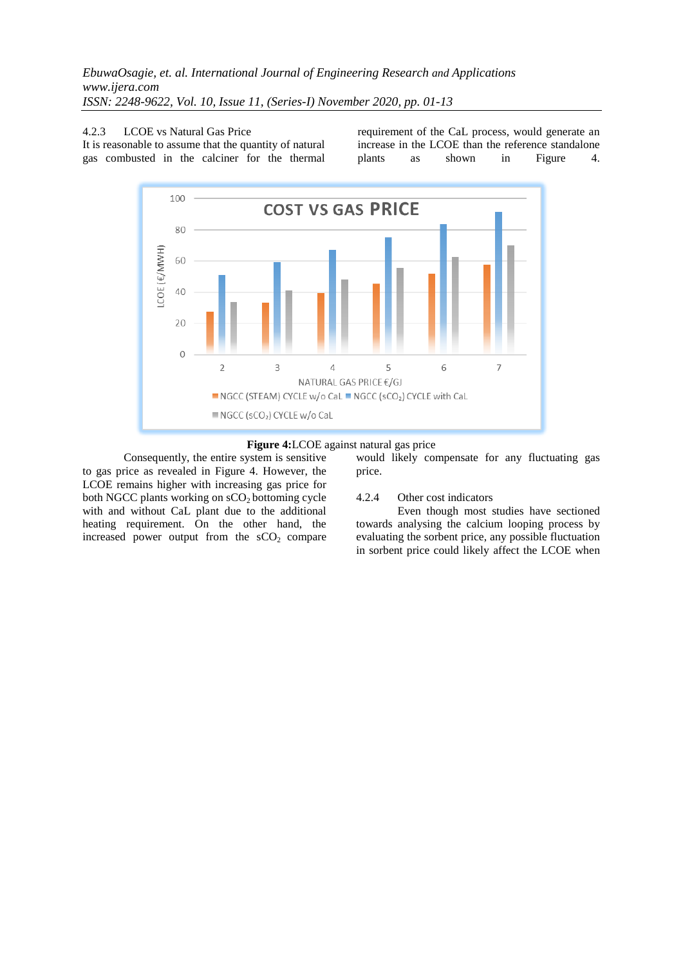4.2.3 LCOE vs Natural Gas Price

It is reasonable to assume that the quantity of natural gas combusted in the calciner for the thermal requirement of the CaL process, would generate an increase in the LCOE than the reference standalone plants as shown in Figure 4.





Consequently, the entire system is sensitive to gas price as revealed in Figure 4. However, the LCOE remains higher with increasing gas price for both NGCC plants working on  $sCO<sub>2</sub>$  bottoming cycle with and without CaL plant due to the additional heating requirement. On the other hand, the increased power output from the  $sCO<sub>2</sub>$  compare

would likely compensate for any fluctuating gas price.

## 4.2.4 Other cost indicators

Even though most studies have sectioned towards analysing the calcium looping process by evaluating the sorbent price, any possible fluctuation in sorbent price could likely affect the LCOE when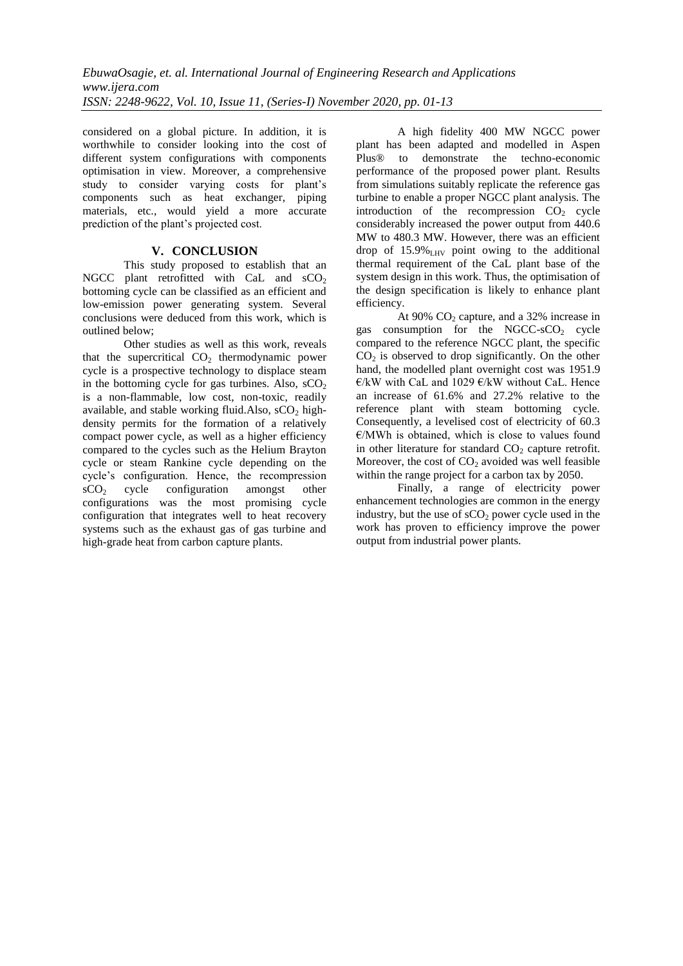considered on a global picture. In addition, it is worthwhile to consider looking into the cost of different system configurations with components optimisation in view. Moreover, a comprehensive study to consider varying costs for plant's components such as heat exchanger, piping materials, etc., would yield a more accurate prediction of the plant"s projected cost.

# **V. CONCLUSION**

This study proposed to establish that an NGCC plant retrofitted with CaL and  $sCO<sub>2</sub>$ bottoming cycle can be classified as an efficient and low-emission power generating system. Several conclusions were deduced from this work, which is outlined below;

Other studies as well as this work, reveals that the supercritical  $CO<sub>2</sub>$  thermodynamic power cycle is a prospective technology to displace steam in the bottoming cycle for gas turbines. Also,  $sCO<sub>2</sub>$ is a non-flammable, low cost, non-toxic, readily available, and stable working fluid. Also,  $sCO<sub>2</sub>$  highdensity permits for the formation of a relatively compact power cycle, as well as a higher efficiency compared to the cycles such as the Helium Brayton cycle or steam Rankine cycle depending on the cycle"s configuration. Hence, the recompression  $sCO<sub>2</sub>$  cycle configuration amongst other configurations was the most promising cycle configuration that integrates well to heat recovery systems such as the exhaust gas of gas turbine and high-grade heat from carbon capture plants.

A high fidelity 400 MW NGCC power plant has been adapted and modelled in Aspen Plus® to demonstrate the techno-economic performance of the proposed power plant. Results from simulations suitably replicate the reference gas turbine to enable a proper NGCC plant analysis. The introduction of the recompression  $CO<sub>2</sub>$  cycle considerably increased the power output from 440.6 MW to 480.3 MW. However, there was an efficient drop of  $15.9\%$ <sub>LHV</sub> point owing to the additional thermal requirement of the CaL plant base of the system design in this work. Thus, the optimisation of the design specification is likely to enhance plant efficiency.

At  $90\%$  CO<sub>2</sub> capture, and a 32% increase in gas consumption for the NGCC-s $CO<sub>2</sub>$  cycle compared to the reference NGCC plant, the specific  $CO<sub>2</sub>$  is observed to drop significantly. On the other hand, the modelled plant overnight cost was 1951.9 €/kW with CaL and 1029 €/kW without CaL. Hence an increase of 61.6% and 27.2% relative to the reference plant with steam bottoming cycle. Consequently, a levelised cost of electricity of 60.3  $E/MWh$  is obtained, which is close to values found in other literature for standard  $CO<sub>2</sub>$  capture retrofit. Moreover, the cost of  $CO<sub>2</sub>$  avoided was well feasible within the range project for a carbon tax by 2050.

Finally, a range of electricity power enhancement technologies are common in the energy industry, but the use of  $sCO<sub>2</sub>$  power cycle used in the work has proven to efficiency improve the power output from industrial power plants.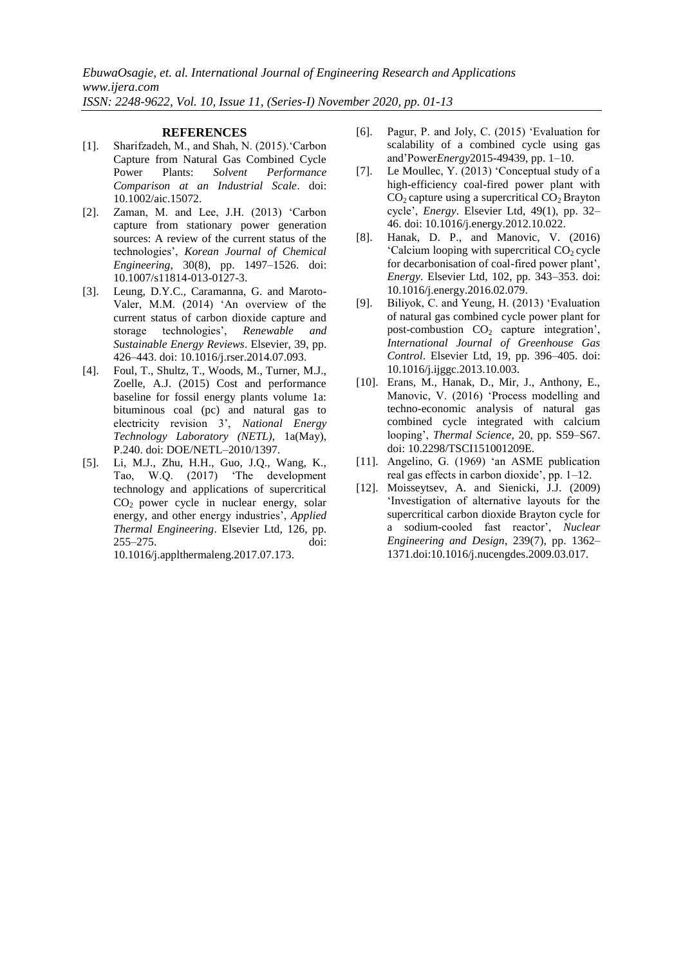#### **REFERENCES**

- [1]. Sharifzadeh, M., and Shah, N. (2015). Carbon Capture from Natural Gas Combined Cycle Power Plants: *Solvent Performance Comparison at an Industrial Scale*. doi: 10.1002/aic.15072.
- [2]. Zaman, M. and Lee, J.H. (2013) "Carbon capture from stationary power generation sources: A review of the current status of the technologies", *Korean Journal of Chemical Engineering*, 30(8), pp. 1497–1526. doi: 10.1007/s11814-013-0127-3.
- [3]. Leung, D.Y.C., Caramanna, G. and Maroto-Valer, M.M. (2014) "An overview of the current status of carbon dioxide capture and storage technologies", *Renewable and Sustainable Energy Reviews*. Elsevier, 39, pp. 426–443. doi: 10.1016/j.rser.2014.07.093.
- [4]. Foul, T., Shultz, T., Woods, M., Turner, M.J., Zoelle, A.J. (2015) Cost and performance baseline for fossil energy plants volume 1a: bituminous coal (pc) and natural gas to electricity revision 3", *National Energy Technology Laboratory (NETL)*, 1a(May), P.240. doi: DOE/NETL–2010/1397.
- [5]. Li, M.J., Zhu, H.H., Guo, J.Q., Wang, K., Tao, W.Q. (2017) "The development technology and applications of supercritical  $CO<sub>2</sub>$  power cycle in nuclear energy, solar energy, and other energy industries", *Applied Thermal Engineering*. Elsevier Ltd, 126, pp. 255–275. doi: 10.1016/j.applthermaleng.2017.07.173.
- [6]. Pagur, P. and Joly, C. (2015) "Evaluation for scalability of a combined cycle using gas and"Power*Energy*2015-49439, pp. 1–10.
- [7]. Le Moullec, Y. (2013) "Conceptual study of a high-efficiency coal-fired power plant with  $CO<sub>2</sub>$  capture using a supercritical  $CO<sub>2</sub>$  Brayton cycle", *Energy*. Elsevier Ltd, 49(1), pp. 32– 46. doi: 10.1016/j.energy.2012.10.022.
- [8]. Hanak, D. P., and Manovic, V. (2016)  $^{\circ}$ Calcium looping with supercritical CO<sub>2</sub> cycle for decarbonisation of coal-fired power plant", *Energy*. Elsevier Ltd, 102, pp. 343–353. doi: 10.1016/j.energy.2016.02.079.
- [9]. Biliyok, C. and Yeung, H. (2013) "Evaluation of natural gas combined cycle power plant for post-combustion  $CO<sub>2</sub>$  capture integration', *International Journal of Greenhouse Gas Control*. Elsevier Ltd, 19, pp. 396–405. doi: 10.1016/j.ijggc.2013.10.003.
- [10]. Erans, M., Hanak, D., Mir, J., Anthony, E., Manovic, V. (2016) "Process modelling and techno-economic analysis of natural gas combined cycle integrated with calcium looping", *Thermal Science*, 20, pp. S59–S67. doi: 10.2298/TSCI151001209E.
- [11]. Angelino, G. (1969) "an ASME publication real gas effects in carbon dioxide", pp. 1–12.
- [12]. Moisseytsev, A. and Sienicki, J.J. (2009) "Investigation of alternative layouts for the supercritical carbon dioxide Brayton cycle for a sodium-cooled fast reactor", *Nuclear Engineering and Design*, 239(7), pp. 1362– 1371.doi:10.1016/j.nucengdes.2009.03.017.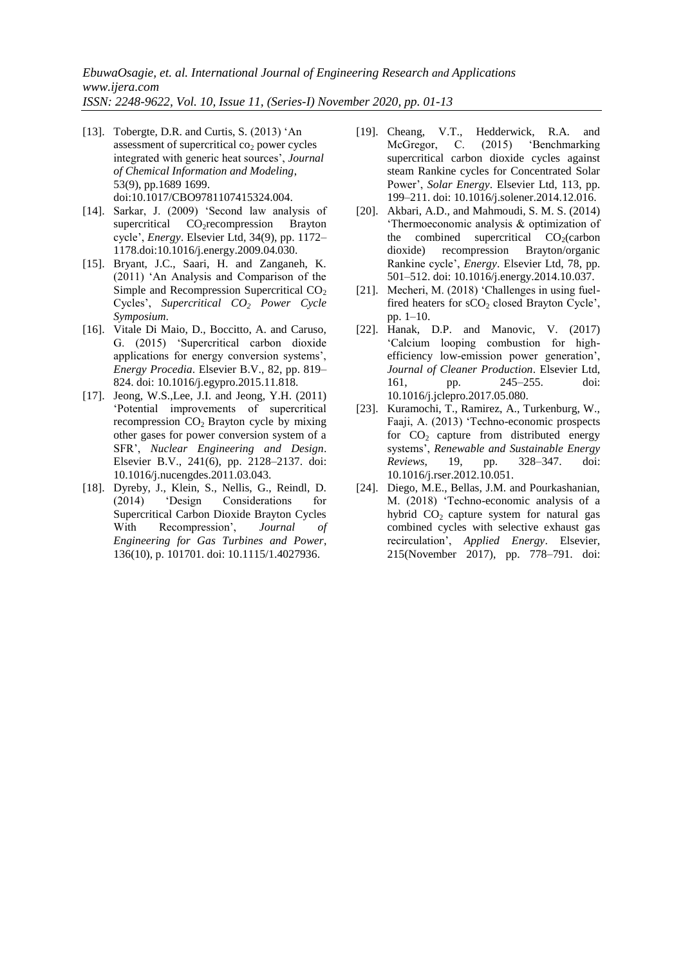- [13]. Tobergte, D.R. and Curtis, S. (2013) 'An assessment of supercritical  $co<sub>2</sub>$  power cycles integrated with generic heat sources", *Journal of Chemical Information and Modeling*, 53(9), pp.1689 1699. doi:10.1017/CBO9781107415324.004.
- [14]. Sarkar, J. (2009) "Second law analysis of supercritical CO<sub>2</sub>recompression Brayton cycle", *Energy*. Elsevier Ltd, 34(9), pp. 1172– 1178.doi:10.1016/j.energy.2009.04.030.
- [15]. Bryant, J.C., Saari, H. and Zanganeh, K. (2011) "An Analysis and Comparison of the Simple and Recompression Supercritical  $CO<sub>2</sub>$ Cycles", *Supercritical CO<sup>2</sup> Power Cycle Symposium*.
- [16]. Vitale Di Maio, D., Boccitto, A. and Caruso, G. (2015) "Supercritical carbon dioxide applications for energy conversion systems", *Energy Procedia*. Elsevier B.V., 82, pp. 819– 824. doi: 10.1016/j.egypro.2015.11.818.
- [17]. Jeong, W.S.,Lee, J.I. and Jeong, Y.H. (2011) "Potential improvements of supercritical recompression  $CO<sub>2</sub>$  Brayton cycle by mixing other gases for power conversion system of a SFR", *Nuclear Engineering and Design*. Elsevier B.V., 241(6), pp. 2128–2137. doi: 10.1016/j.nucengdes.2011.03.043.
- [18]. Dyreby, J., Klein, S., Nellis, G., Reindl, D. (2014) "Design Considerations for Supercritical Carbon Dioxide Brayton Cycles With Recompression", *Journal of Engineering for Gas Turbines and Power*, 136(10), p. 101701. doi: 10.1115/1.4027936.
- [19]. Cheang, V.T., Hedderwick, R.A. and McGregor, C. (2015) "Benchmarking supercritical carbon dioxide cycles against steam Rankine cycles for Concentrated Solar Power", *Solar Energy*. Elsevier Ltd, 113, pp. 199–211. doi: 10.1016/j.solener.2014.12.016.
- [20]. Akbari, A.D., and Mahmoudi, S. M. S. (2014) "Thermoeconomic analysis & optimization of the combined supercritical  $CO<sub>2</sub>(carbon)$ dioxide) recompression Brayton/organic Rankine cycle", *Energy*. Elsevier Ltd, 78, pp. 501–512. doi: 10.1016/j.energy.2014.10.037.
- [21]. Mecheri, M. (2018) 'Challenges in using fuelfired heaters for  $sCO<sub>2</sub>$  closed Brayton Cycle', pp. 1–10.
- [22]. Hanak, D.P. and Manovic, V. (2017) "Calcium looping combustion for highefficiency low-emission power generation", *Journal of Cleaner Production*. Elsevier Ltd, 161, pp. 245–255. doi: 10.1016/j.jclepro.2017.05.080.
- [23]. Kuramochi, T., Ramirez, A., Turkenburg, W., Faaji, A. (2013) "Techno-economic prospects for  $CO<sub>2</sub>$  capture from distributed energy systems", *Renewable and Sustainable Energy Reviews*, 19, pp. 328–347. doi: 10.1016/j.rser.2012.10.051.
- [24]. Diego, M.E., Bellas, J.M. and Pourkashanian, M. (2018) "Techno-economic analysis of a hybrid  $CO<sub>2</sub>$  capture system for natural gas combined cycles with selective exhaust gas recirculation", *Applied Energy*. Elsevier, 215(November 2017), pp. 778–791. doi: